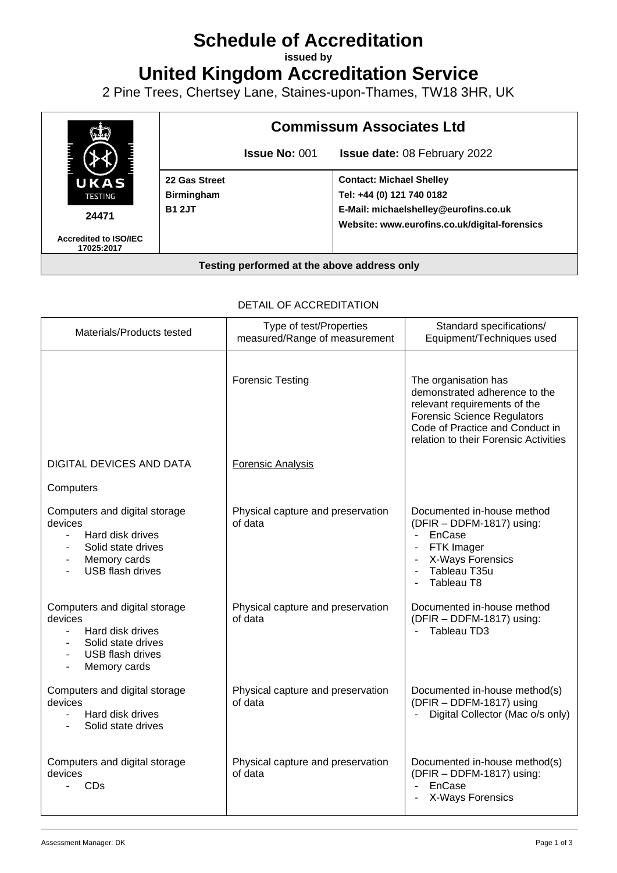# **Schedule of Accreditation**

**issued by**

**United Kingdom Accreditation Service**

2 Pine Trees, Chertsey Lane, Staines-upon-Thames, TW18 3HR, UK



#### DETAIL OF ACCREDITATION

| Materials/Products tested                                                                                                                       | Type of test/Properties<br>measured/Range of measurement | Standard specifications/<br>Equipment/Techniques used                                                                                                                                                   |
|-------------------------------------------------------------------------------------------------------------------------------------------------|----------------------------------------------------------|---------------------------------------------------------------------------------------------------------------------------------------------------------------------------------------------------------|
|                                                                                                                                                 | <b>Forensic Testing</b>                                  | The organisation has<br>demonstrated adherence to the<br>relevant requirements of the<br><b>Forensic Science Regulators</b><br>Code of Practice and Conduct in<br>relation to their Forensic Activities |
| <b>DIGITAL DEVICES AND DATA</b>                                                                                                                 | <b>Forensic Analysis</b>                                 |                                                                                                                                                                                                         |
| Computers                                                                                                                                       |                                                          |                                                                                                                                                                                                         |
| Computers and digital storage<br>devices<br>Hard disk drives<br>$\blacksquare$<br>Solid state drives<br>Memory cards<br><b>USB flash drives</b> | Physical capture and preservation<br>of data             | Documented in-house method<br>(DFIR - DDFM-1817) using:<br>EnCase<br>$\mathbf{r}$<br>FTK Imager<br>X-Ways Forensics<br>Tableau T35u<br>Tableau T8<br>$\blacksquare$                                     |
| Computers and digital storage<br>devices<br>Hard disk drives<br>$\blacksquare$<br>Solid state drives<br><b>USB</b> flash drives<br>Memory cards | Physical capture and preservation<br>of data             | Documented in-house method<br>(DFIR - DDFM-1817) using:<br>Tableau TD3<br>$\mathcal{L}^{\text{max}}$                                                                                                    |
| Computers and digital storage<br>devices<br>Hard disk drives<br>Solid state drives                                                              | Physical capture and preservation<br>of data             | Documented in-house method(s)<br>(DFIR - DDFM-1817) using<br>Digital Collector (Mac o/s only)                                                                                                           |
| Computers and digital storage<br>devices<br>CDs<br>$\blacksquare$                                                                               | Physical capture and preservation<br>of data             | Documented in-house method(s)<br>(DFIR - DDFM-1817) using:<br>EnCase<br>X-Ways Forensics                                                                                                                |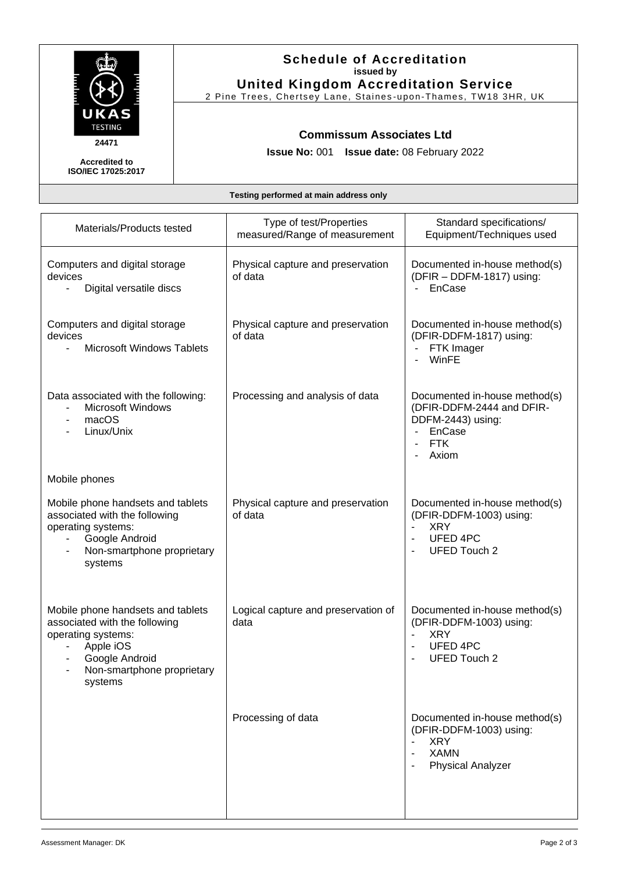

# **Schedule of Accreditation issued by United Kingdom Accreditation Service**

2 Pine Trees, Chertsey Lane, Staines -upon -Thames, TW18 3HR, UK

#### **Commissum Associates Ltd**

**Issue No:** 001 **Issue date:** 08 February 2022

**Accredited to ISO/IEC 17025:2017**

**Testing performed at main address only**

| Materials/Products tested                                                                                                                                        | Type of test/Properties<br>measured/Range of measurement | Standard specifications/<br>Equipment/Techniques used                                                                                                          |
|------------------------------------------------------------------------------------------------------------------------------------------------------------------|----------------------------------------------------------|----------------------------------------------------------------------------------------------------------------------------------------------------------------|
| Computers and digital storage<br>devices<br>Digital versatile discs                                                                                              | Physical capture and preservation<br>of data             | Documented in-house method(s)<br>(DFIR - DDFM-1817) using:<br>EnCase                                                                                           |
| Computers and digital storage<br>devices<br><b>Microsoft Windows Tablets</b><br>$\blacksquare$                                                                   | Physical capture and preservation<br>of data             | Documented in-house method(s)<br>(DFIR-DDFM-1817) using:<br>FTK Imager<br>WinFE                                                                                |
| Data associated with the following:<br><b>Microsoft Windows</b><br>macOS<br>$\overline{\phantom{a}}$<br>Linux/Unix                                               | Processing and analysis of data                          | Documented in-house method(s)<br>(DFIR-DDFM-2444 and DFIR-<br>DDFM-2443) using:<br>EnCase<br><b>FTK</b><br>Axiom                                               |
| Mobile phones                                                                                                                                                    |                                                          |                                                                                                                                                                |
| Mobile phone handsets and tablets<br>associated with the following<br>operating systems:<br>Google Android<br>Non-smartphone proprietary<br>systems              | Physical capture and preservation<br>of data             | Documented in-house method(s)<br>(DFIR-DDFM-1003) using:<br><b>XRY</b><br><b>UFED 4PC</b><br><b>UFED Touch 2</b>                                               |
| Mobile phone handsets and tablets<br>associated with the following<br>operating systems:<br>Apple iOS<br>Google Android<br>Non-smartphone proprietary<br>systems | Logical capture and preservation of<br>data              | Documented in-house method(s)<br>(DFIR-DDFM-1003) using:<br><b>XRY</b><br>$\blacksquare$<br><b>UFED 4PC</b><br>$\overline{\phantom{a}}$<br><b>UFED Touch 2</b> |
|                                                                                                                                                                  | Processing of data                                       | Documented in-house method(s)<br>(DFIR-DDFM-1003) using:<br><b>XRY</b><br><b>XAMN</b><br><b>Physical Analyzer</b>                                              |